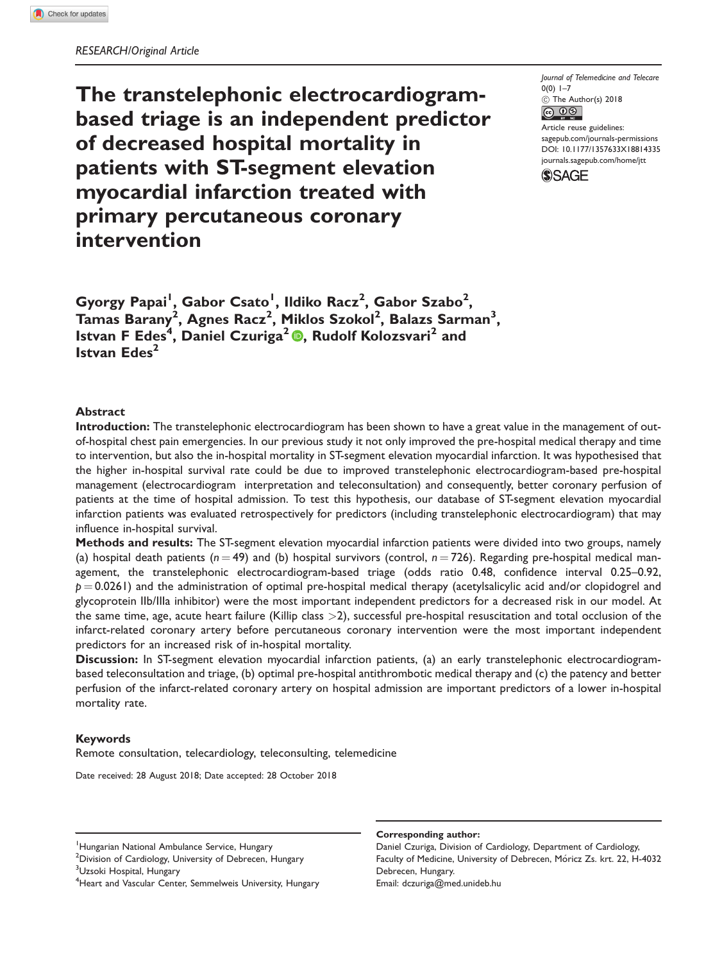The transtelephonic electrocardiogrambased triage is an independent predictor of decreased hospital mortality in patients with ST-segment elevation myocardial infarction treated with primary percutaneous coronary intervention

Journal of Telemedicine and Telecare  $0(0)$  1-7 C The Author(s) 2018

 $\boxed{6}$  0  $\odot$ 

Article reuse guidelines: [sagepub.com/journals-permissions](http://uk.sagepub.com/en-gb/journals-permissions) [DOI: 10.1177/1357633X18814335](http://dx.doi.org/10.1177/1357633X18814335) <journals.sagepub.com/home/jtt>

**SSAGE** 

Gyorgy Papai<sup>l</sup>, Gabor Csato<sup>l</sup>, Ildiko Racz<sup>2</sup>, Gabor Szabo<sup>2</sup>, Tamas Barany<sup>2</sup>, Agnes Racz<sup>2</sup>, Miklos Szokol<sup>2</sup>, Balazs Sarman<sup>3</sup>, Istvan F Edes<sup>4</sup>, Daniel Czuriga<sup>2</sup> (D. Rudolf Kolozsvari<sup>2</sup> and Istvan Edes<sup>2</sup>

#### Abstract

Introduction: The transtelephonic electrocardiogram has been shown to have a great value in the management of outof-hospital chest pain emergencies. In our previous study it not only improved the pre-hospital medical therapy and time to intervention, but also the in-hospital mortality in ST-segment elevation myocardial infarction. It was hypothesised that the higher in-hospital survival rate could be due to improved transtelephonic electrocardiogram-based pre-hospital management (electrocardiogram interpretation and teleconsultation) and consequently, better coronary perfusion of patients at the time of hospital admission. To test this hypothesis, our database of ST-segment elevation myocardial infarction patients was evaluated retrospectively for predictors (including transtelephonic electrocardiogram) that may influence in-hospital survival.

Methods and results: The ST-segment elevation myocardial infarction patients were divided into two groups, namely (a) hospital death patients ( $n = 49$ ) and (b) hospital survivors (control,  $n = 726$ ). Regarding pre-hospital medical management, the transtelephonic electrocardiogram-based triage (odds ratio 0.48, confidence interval 0.25–0.92,  $p = 0.0261$ ) and the administration of optimal pre-hospital medical therapy (acetylsalicylic acid and/or clopidogrel and glycoprotein IIb/IIIa inhibitor) were the most important independent predictors for a decreased risk in our model. At the same time, age, acute heart failure (Killip class  $>2$ ), successful pre-hospital resuscitation and total occlusion of the infarct-related coronary artery before percutaneous coronary intervention were the most important independent predictors for an increased risk of in-hospital mortality.

Discussion: In ST-segment elevation myocardial infarction patients, (a) an early transtelephonic electrocardiogrambased teleconsultation and triage, (b) optimal pre-hospital antithrombotic medical therapy and (c) the patency and better perfusion of the infarct-related coronary artery on hospital admission are important predictors of a lower in-hospital mortality rate.

#### Keywords

Remote consultation, telecardiology, teleconsulting, telemedicine

Date received: 28 August 2018; Date accepted: 28 October 2018

1 Hungarian National Ambulance Service, Hungary

<sup>2</sup> Division of Cardiology, University of Debrecen, Hungary <sup>3</sup>Uzsoki Hospital, Hungary

#### Corresponding author:

Daniel Czuriga, Division of Cardiology, Department of Cardiology, Faculty of Medicine, University of Debrecen, Móricz Zs. krt. 22, H-4032 Debrecen, Hungary. Email: [dczuriga@med.unideb.hu](mailto:dczuriga@med.unideb.hu)

<sup>4</sup> Heart and Vascular Center, Semmelweis University, Hungary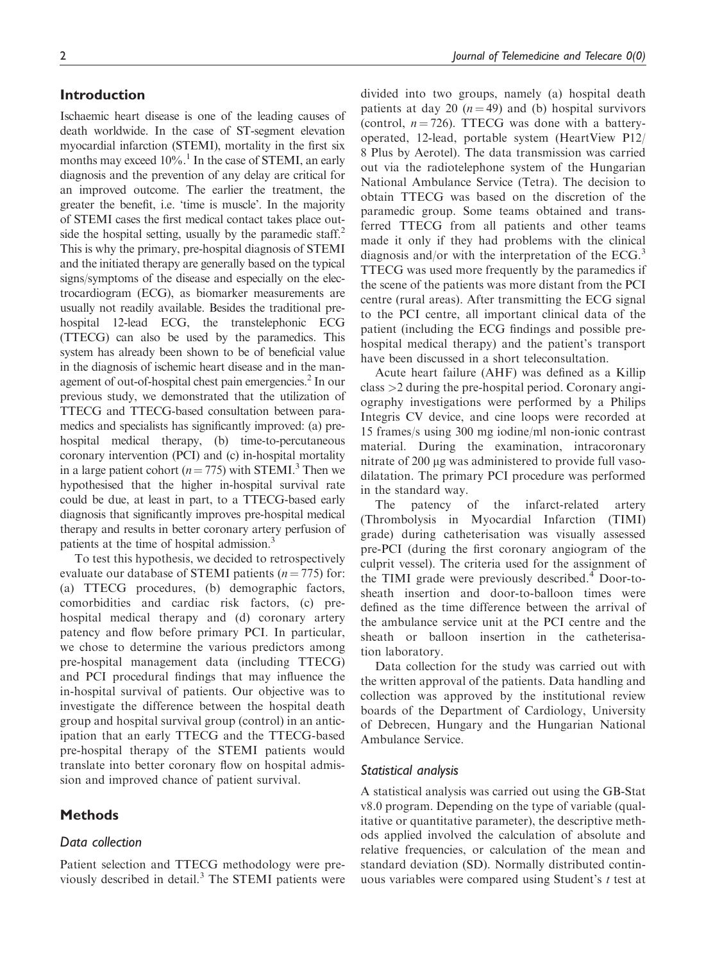# Introduction

Ischaemic heart disease is one of the leading causes of death worldwide. In the case of ST-segment elevation myocardial infarction (STEMI), mortality in the first six months may exceed  $10\%$ .<sup>1</sup> In the case of STEMI, an early diagnosis and the prevention of any delay are critical for an improved outcome. The earlier the treatment, the greater the benefit, i.e. 'time is muscle'. In the majority of STEMI cases the first medical contact takes place outside the hospital setting, usually by the paramedic staff.<sup>2</sup> This is why the primary, pre-hospital diagnosis of STEMI and the initiated therapy are generally based on the typical signs/symptoms of the disease and especially on the electrocardiogram (ECG), as biomarker measurements are usually not readily available. Besides the traditional prehospital 12-lead ECG, the transtelephonic ECG (TTECG) can also be used by the paramedics. This system has already been shown to be of beneficial value in the diagnosis of ischemic heart disease and in the management of out-of-hospital chest pain emergencies.<sup>2</sup> In our previous study, we demonstrated that the utilization of TTECG and TTECG-based consultation between paramedics and specialists has significantly improved: (a) prehospital medical therapy, (b) time-to-percutaneous coronary intervention (PCI) and (c) in-hospital mortality in a large patient cohort ( $n = 775$ ) with STEMI.<sup>3</sup> Then we hypothesised that the higher in-hospital survival rate could be due, at least in part, to a TTECG-based early diagnosis that significantly improves pre-hospital medical therapy and results in better coronary artery perfusion of patients at the time of hospital admission.<sup>3</sup>

To test this hypothesis, we decided to retrospectively evaluate our database of STEMI patients ( $n = 775$ ) for: (a) TTECG procedures, (b) demographic factors, comorbidities and cardiac risk factors, (c) prehospital medical therapy and (d) coronary artery patency and flow before primary PCI. In particular, we chose to determine the various predictors among pre-hospital management data (including TTECG) and PCI procedural findings that may influence the in-hospital survival of patients. Our objective was to investigate the difference between the hospital death group and hospital survival group (control) in an anticipation that an early TTECG and the TTECG-based pre-hospital therapy of the STEMI patients would translate into better coronary flow on hospital admission and improved chance of patient survival.

## **Methods**

### Data collection

Patient selection and TTECG methodology were previously described in detail.<sup>3</sup> The STEMI patients were divided into two groups, namely (a) hospital death patients at day 20  $(n = 49)$  and (b) hospital survivors (control,  $n = 726$ ). TTECG was done with a batteryoperated, 12-lead, portable system (HeartView P12/ 8 Plus by Aerotel). The data transmission was carried out via the radiotelephone system of the Hungarian National Ambulance Service (Tetra). The decision to obtain TTECG was based on the discretion of the paramedic group. Some teams obtained and transferred TTECG from all patients and other teams made it only if they had problems with the clinical diagnosis and/or with the interpretation of the  $ECG$ . TTECG was used more frequently by the paramedics if the scene of the patients was more distant from the PCI centre (rural areas). After transmitting the ECG signal to the PCI centre, all important clinical data of the patient (including the ECG findings and possible pre-

Acute heart failure (AHF) was defined as a Killip class >2 during the pre-hospital period. Coronary angiography investigations were performed by a Philips Integris CV device, and cine loops were recorded at 15 frames/s using 300 mg iodine/ml non-ionic contrast material. During the examination, intracoronary nitrate of 200 µg was administered to provide full vasodilatation. The primary PCI procedure was performed in the standard way.

hospital medical therapy) and the patient's transport have been discussed in a short teleconsultation.

The patency of the infarct-related artery (Thrombolysis in Myocardial Infarction (TIMI) grade) during catheterisation was visually assessed pre-PCI (during the first coronary angiogram of the culprit vessel). The criteria used for the assignment of the TIMI grade were previously described.<sup>4</sup> Door-tosheath insertion and door-to-balloon times were defined as the time difference between the arrival of the ambulance service unit at the PCI centre and the sheath or balloon insertion in the catheterisation laboratory.

Data collection for the study was carried out with the written approval of the patients. Data handling and collection was approved by the institutional review boards of the Department of Cardiology, University of Debrecen, Hungary and the Hungarian National Ambulance Service.

### Statistical analysis

A statistical analysis was carried out using the GB-Stat v8.0 program. Depending on the type of variable (qualitative or quantitative parameter), the descriptive methods applied involved the calculation of absolute and relative frequencies, or calculation of the mean and standard deviation (SD). Normally distributed continuous variables were compared using Student's  $t$  test at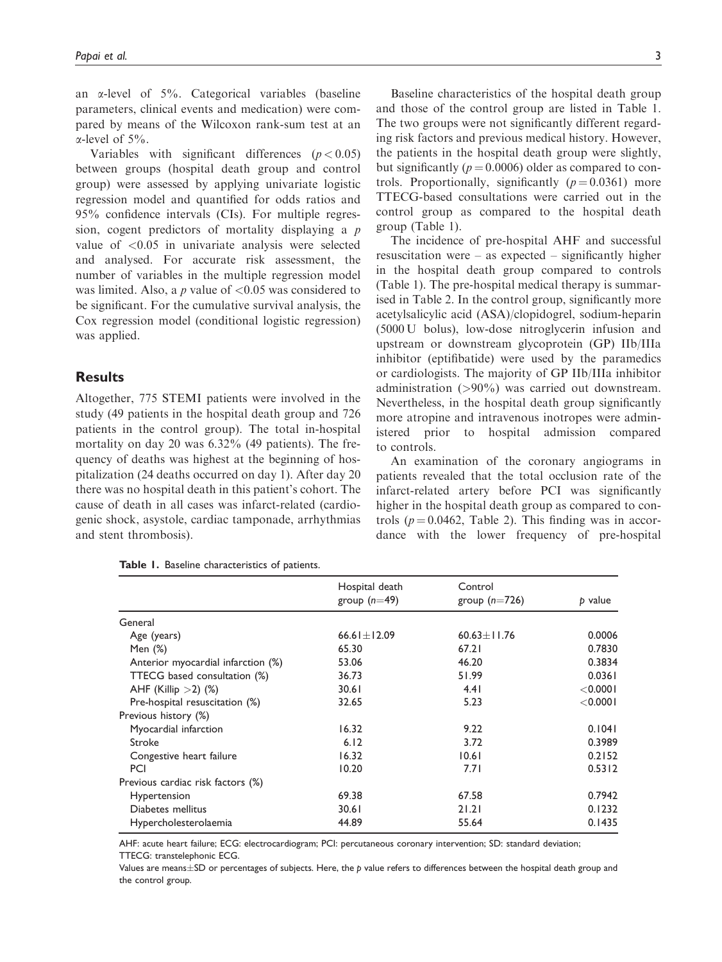an a-level of 5%. Categorical variables (baseline parameters, clinical events and medication) were compared by means of the Wilcoxon rank-sum test at an  $\alpha$ -level of 5%.

Variables with significant differences  $(p < 0.05)$ between groups (hospital death group and control group) were assessed by applying univariate logistic regression model and quantified for odds ratios and 95% confidence intervals (CIs). For multiple regression, cogent predictors of mortality displaying a  $p$ value of <0.05 in univariate analysis were selected and analysed. For accurate risk assessment, the number of variables in the multiple regression model was limited. Also, a p value of  $\langle 0.05 \rangle$  was considered to be significant. For the cumulative survival analysis, the Cox regression model (conditional logistic regression) was applied.

# **Results**

Altogether, 775 STEMI patients were involved in the study (49 patients in the hospital death group and 726 patients in the control group). The total in-hospital mortality on day 20 was 6.32% (49 patients). The frequency of deaths was highest at the beginning of hospitalization (24 deaths occurred on day 1). After day 20 there was no hospital death in this patient's cohort. The cause of death in all cases was infarct-related (cardiogenic shock, asystole, cardiac tamponade, arrhythmias and stent thrombosis).

Baseline characteristics of the hospital death group and those of the control group are listed in Table 1. The two groups were not significantly different regarding risk factors and previous medical history. However, the patients in the hospital death group were slightly, but significantly ( $p = 0.0006$ ) older as compared to controls. Proportionally, significantly  $(p=0.0361)$  more TTECG-based consultations were carried out in the control group as compared to the hospital death group (Table 1).

The incidence of pre-hospital AHF and successful resuscitation were – as expected – significantly higher in the hospital death group compared to controls (Table 1). The pre-hospital medical therapy is summarised in Table 2. In the control group, significantly more acetylsalicylic acid (ASA)/clopidogrel, sodium-heparin (5000 U bolus), low-dose nitroglycerin infusion and upstream or downstream glycoprotein (GP) IIb/IIIa inhibitor (eptifibatide) were used by the paramedics or cardiologists. The majority of GP IIb/IIIa inhibitor administration (>90%) was carried out downstream. Nevertheless, in the hospital death group significantly more atropine and intravenous inotropes were administered prior to hospital admission compared to controls.

An examination of the coronary angiograms in patients revealed that the total occlusion rate of the infarct-related artery before PCI was significantly higher in the hospital death group as compared to controls ( $p = 0.0462$ , Table 2). This finding was in accordance with the lower frequency of pre-hospital

|  |  |  | Table 1. Baseline characteristics of patients. |  |  |
|--|--|--|------------------------------------------------|--|--|
|--|--|--|------------------------------------------------|--|--|

|                                    | Hospital death   | Control           |           |
|------------------------------------|------------------|-------------------|-----------|
|                                    | group $(n=49)$   | group $(n=726)$   | p value   |
| General                            |                  |                   |           |
| Age (years)                        | 66.6 $\pm$ 12.09 | 60.63 $\pm$ 11.76 | 0.0006    |
| Men $(%)$                          | 65.30            | 67.21             | 0.7830    |
| Anterior myocardial infarction (%) | 53.06            | 46.20             | 0.3834    |
| TTECG based consultation (%)       | 36.73            | 51.99             | 0.0361    |
| AHF (Killip $>2$ ) (%)             | 30.61            | 4.41              | $<$ 0.000 |
| Pre-hospital resuscitation (%)     | 32.65            | 5.23              | $<$ 0.000 |
| Previous history (%)               |                  |                   |           |
| Myocardial infarction              | 16.32            | 9.22              | 0.1041    |
| Stroke                             | 6.12             | 3.72              | 0.3989    |
| Congestive heart failure           | 16.32            | 10.61             | 0.2152    |
| PCI                                | 10.20            | 7.71              | 0.5312    |
| Previous cardiac risk factors (%)  |                  |                   |           |
| <b>Hypertension</b>                | 69.38            | 67.58             | 0.7942    |
| Diabetes mellitus                  | 30.61            | 21.21             | 0.1232    |
| Hypercholesterolaemia              | 44.89            | 55.64             | 0.1435    |

AHF: acute heart failure; ECG: electrocardiogram; PCI: percutaneous coronary intervention; SD: standard deviation; TTECG: transtelephonic ECG.

Values are means $\pm$ SD or percentages of subjects. Here, the  $p$  value refers to differences between the hospital death group and the control group.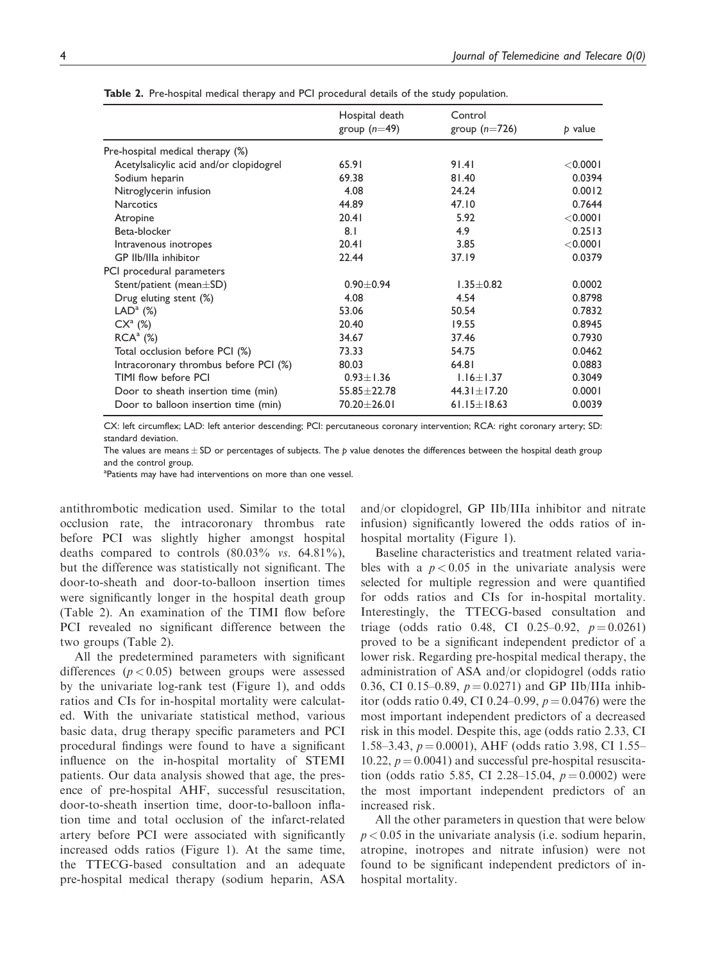|                                         | Hospital death    | Control             |           |
|-----------------------------------------|-------------------|---------------------|-----------|
|                                         | group $(n=49)$    | group $(n=726)$     | p value   |
| Pre-hospital medical therapy (%)        |                   |                     |           |
| Acetylsalicylic acid and/or clopidogrel | 65.91             | 91.41               | $<$ 0.000 |
| Sodium heparin                          | 69.38             | 81.40               | 0.0394    |
| Nitroglycerin infusion                  | 4.08              | 24.24               | 0.0012    |
| <b>Narcotics</b>                        | 44.89             | 47.10               | 0.7644    |
| Atropine                                | 20.41             | 5.92                | $<$ 0.000 |
| Beta-blocker                            | 8.1               | 4.9                 | 0.2513    |
| Intravenous inotropes                   | 20.41             | 3.85                | $<$ 0.000 |
| GP IIb/IIIa inhibitor                   | 22.44             | 37.19               | 0.0379    |
| PCI procedural parameters               |                   |                     |           |
| Stent/patient (mean±SD)                 | $0.90 + 0.94$     | $1.35 + 0.82$       | 0.0002    |
| Drug eluting stent (%)                  | 4.08              | 4.54                | 0.8798    |
| $LADa$ (%)                              | 53.06             | 50.54               | 0.7832    |
| $CX^a$ (%)                              | 20.40             | 19.55               | 0.8945    |
| $RCA^a$ (%)                             | 34.67             | 37.46               | 0.7930    |
| Total occlusion before PCI (%)          | 73.33             | 54.75               | 0.0462    |
| Intracoronary thrombus before PCI (%)   | 80.03             | 64.81               | 0.0883    |
| TIMI flow before PCI                    | $0.93 \pm 1.36$   | $1.16 \pm 1.37$     | 0.3049    |
| Door to sheath insertion time (min)     | $55.85 \pm 22.78$ | $44.3$   $+$   7.20 | 0.0001    |
| Door to balloon insertion time (min)    | 70.20 ± 26.01     | $61.15 \pm 18.63$   | 0.0039    |

Table 2. Pre-hospital medical therapy and PCI procedural details of the study population.

CX: left circumflex; LAD: left anterior descending; PCI: percutaneous coronary intervention; RCA: right coronary artery; SD: standard deviation.

The values are means $\pm$  SD or percentages of subjects. The  $p$  value denotes the differences between the hospital death group and the control group.

<sup>a</sup>Patients may have had interventions on more than one vessel.

antithrombotic medication used. Similar to the total occlusion rate, the intracoronary thrombus rate before PCI was slightly higher amongst hospital deaths compared to controls  $(80.03\% \text{ vs. } 64.81\%),$ but the difference was statistically not significant. The door-to-sheath and door-to-balloon insertion times were significantly longer in the hospital death group (Table 2). An examination of the TIMI flow before PCI revealed no significant difference between the two groups (Table 2).

All the predetermined parameters with significant differences  $(p < 0.05)$  between groups were assessed by the univariate log-rank test (Figure 1), and odds ratios and CIs for in-hospital mortality were calculated. With the univariate statistical method, various basic data, drug therapy specific parameters and PCI procedural findings were found to have a significant influence on the in-hospital mortality of STEMI patients. Our data analysis showed that age, the presence of pre-hospital AHF, successful resuscitation, door-to-sheath insertion time, door-to-balloon inflation time and total occlusion of the infarct-related artery before PCI were associated with significantly increased odds ratios (Figure 1). At the same time, the TTECG-based consultation and an adequate pre-hospital medical therapy (sodium heparin, ASA and/or clopidogrel, GP IIb/IIIa inhibitor and nitrate infusion) significantly lowered the odds ratios of inhospital mortality (Figure 1).

Baseline characteristics and treatment related variables with a  $p < 0.05$  in the univariate analysis were selected for multiple regression and were quantified for odds ratios and CIs for in-hospital mortality. Interestingly, the TTECG-based consultation and triage (odds ratio 0.48, CI 0.25–0.92,  $p = 0.0261$ ) proved to be a significant independent predictor of a lower risk. Regarding pre-hospital medical therapy, the administration of ASA and/or clopidogrel (odds ratio 0.36, CI 0.15–0.89,  $p = 0.0271$  and GP IIb/IIIa inhibitor (odds ratio 0.49, CI 0.24–0.99,  $p = 0.0476$ ) were the most important independent predictors of a decreased risk in this model. Despite this, age (odds ratio 2.33, CI 1.58–3.43,  $p = 0.0001$ ), AHF (odds ratio 3.98, CI 1.55– 10.22,  $p = 0.0041$ ) and successful pre-hospital resuscitation (odds ratio 5.85, CI 2.28–15.04,  $p = 0.0002$ ) were the most important independent predictors of an increased risk.

All the other parameters in question that were below  $p < 0.05$  in the univariate analysis (i.e. sodium heparin, atropine, inotropes and nitrate infusion) were not found to be significant independent predictors of inhospital mortality.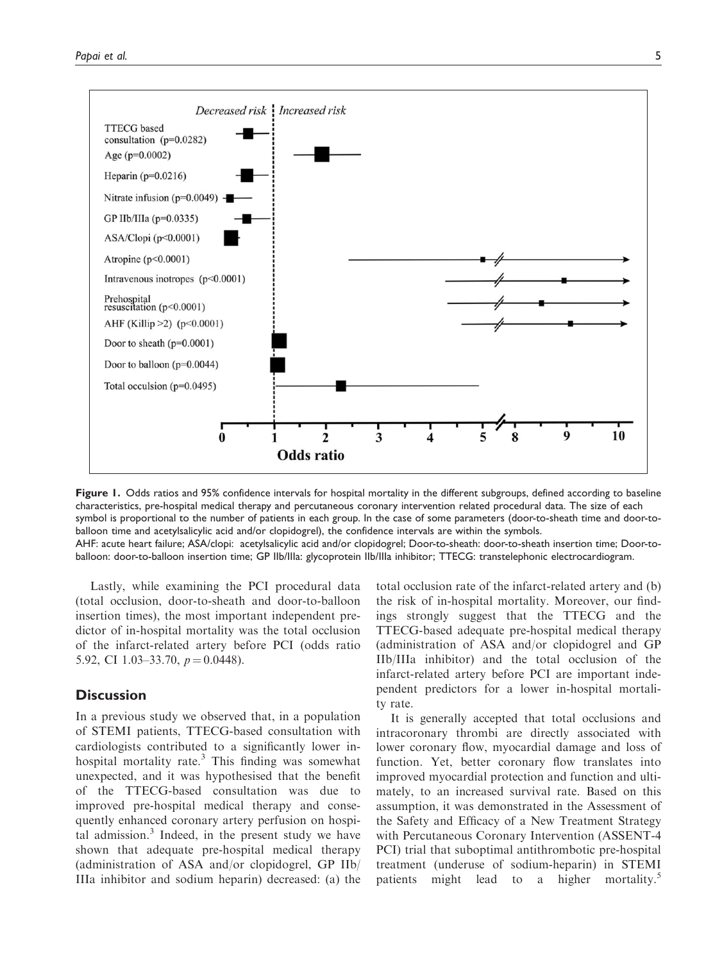

Figure 1. Odds ratios and 95% confidence intervals for hospital mortality in the different subgroups, defined according to baseline characteristics, pre-hospital medical therapy and percutaneous coronary intervention related procedural data. The size of each symbol is proportional to the number of patients in each group. In the case of some parameters (door-to-sheath time and door-toballoon time and acetylsalicylic acid and/or clopidogrel), the confidence intervals are within the symbols. AHF: acute heart failure; ASA/clopi: acetylsalicylic acid and/or clopidogrel; Door-to-sheath: door-to-sheath insertion time; Door-toballoon: door-to-balloon insertion time; GP IIb/IIIa: glycoprotein IIb/IIIa inhibitor; TTECG: transtelephonic electrocardiogram.

Lastly, while examining the PCI procedural data (total occlusion, door-to-sheath and door-to-balloon insertion times), the most important independent predictor of in-hospital mortality was the total occlusion of the infarct-related artery before PCI (odds ratio 5.92, CI 1.03-33.70,  $p = 0.0448$ .

## **Discussion**

In a previous study we observed that, in a population of STEMI patients, TTECG-based consultation with cardiologists contributed to a significantly lower inhospital mortality rate. $3$  This finding was somewhat unexpected, and it was hypothesised that the benefit of the TTECG-based consultation was due to improved pre-hospital medical therapy and consequently enhanced coronary artery perfusion on hospital admission. $3$  Indeed, in the present study we have shown that adequate pre-hospital medical therapy (administration of ASA and/or clopidogrel, GP IIb/ IIIa inhibitor and sodium heparin) decreased: (a) the total occlusion rate of the infarct-related artery and (b) the risk of in-hospital mortality. Moreover, our findings strongly suggest that the TTECG and the TTECG-based adequate pre-hospital medical therapy (administration of ASA and/or clopidogrel and GP IIb/IIIa inhibitor) and the total occlusion of the infarct-related artery before PCI are important independent predictors for a lower in-hospital mortality rate.

It is generally accepted that total occlusions and intracoronary thrombi are directly associated with lower coronary flow, myocardial damage and loss of function. Yet, better coronary flow translates into improved myocardial protection and function and ultimately, to an increased survival rate. Based on this assumption, it was demonstrated in the Assessment of the Safety and Efficacy of a New Treatment Strategy with Percutaneous Coronary Intervention (ASSENT-4 PCI) trial that suboptimal antithrombotic pre-hospital treatment (underuse of sodium-heparin) in STEMI patients might lead to a higher mortality.<sup>5</sup>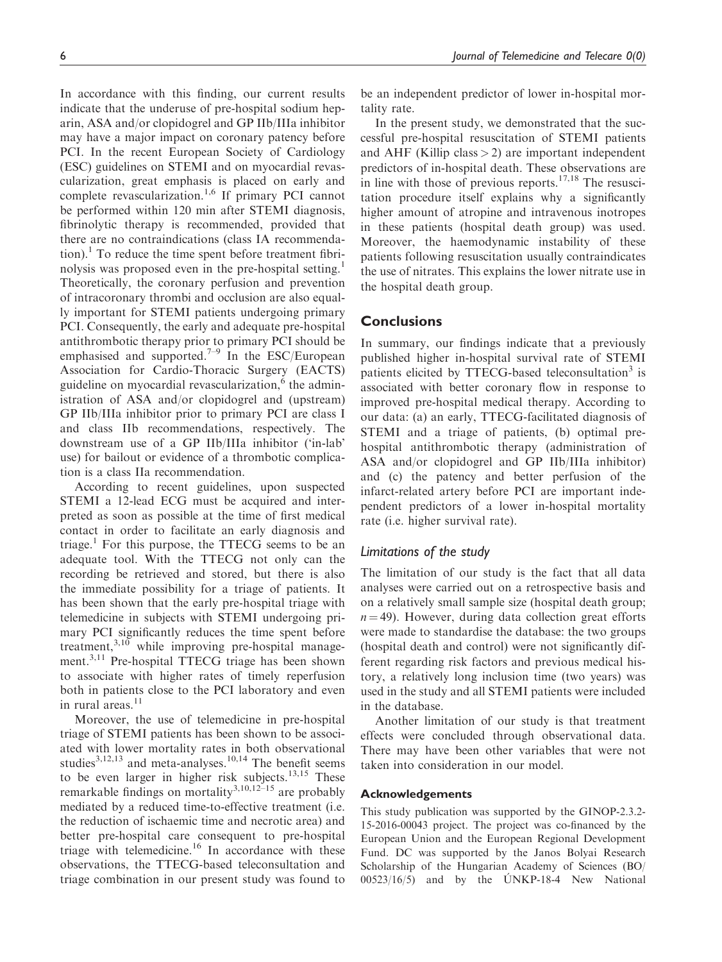In accordance with this finding, our current results indicate that the underuse of pre-hospital sodium heparin, ASA and/or clopidogrel and GP IIb/IIIa inhibitor may have a major impact on coronary patency before PCI. In the recent European Society of Cardiology (ESC) guidelines on STEMI and on myocardial revascularization, great emphasis is placed on early and complete revascularization.<sup>1,6</sup> If primary PCI cannot be performed within 120 min after STEMI diagnosis, fibrinolytic therapy is recommended, provided that there are no contraindications (class IA recommendation).<sup>1</sup> To reduce the time spent before treatment fibrinolysis was proposed even in the pre-hospital setting.<sup>1</sup> Theoretically, the coronary perfusion and prevention of intracoronary thrombi and occlusion are also equally important for STEMI patients undergoing primary PCI. Consequently, the early and adequate pre-hospital antithrombotic therapy prior to primary PCI should be emphasised and supported.<sup>7–9</sup> In the ESC/European Association for Cardio-Thoracic Surgery (EACTS) guideline on myocardial revascularization, $6$  the administration of ASA and/or clopidogrel and (upstream) GP IIb/IIIa inhibitor prior to primary PCI are class I and class IIb recommendations, respectively. The downstream use of a GP IIb/IIIa inhibitor ('in-lab' use) for bailout or evidence of a thrombotic complication is a class IIa recommendation.

According to recent guidelines, upon suspected STEMI a 12-lead ECG must be acquired and interpreted as soon as possible at the time of first medical contact in order to facilitate an early diagnosis and triage.<sup>1</sup> For this purpose, the TTECG seems to be an adequate tool. With the TTECG not only can the recording be retrieved and stored, but there is also the immediate possibility for a triage of patients. It has been shown that the early pre-hospital triage with telemedicine in subjects with STEMI undergoing primary PCI significantly reduces the time spent before treatment, $3,10$  while improving pre-hospital management.3,11 Pre-hospital TTECG triage has been shown to associate with higher rates of timely reperfusion both in patients close to the PCI laboratory and even in rural areas.<sup>11</sup>

Moreover, the use of telemedicine in pre-hospital triage of STEMI patients has been shown to be associated with lower mortality rates in both observational studies<sup>3,12,13</sup> and meta-analyses.<sup>10,14</sup> The benefit seems to be even larger in higher risk subjects.<sup>13,15</sup> These remarkable findings on mortality<sup>3,10,12–15</sup> are probably mediated by a reduced time-to-effective treatment (i.e. the reduction of ischaemic time and necrotic area) and better pre-hospital care consequent to pre-hospital triage with telemedicine.<sup>16</sup> In accordance with these observations, the TTECG-based teleconsultation and triage combination in our present study was found to be an independent predictor of lower in-hospital mortality rate.

In the present study, we demonstrated that the successful pre-hospital resuscitation of STEMI patients and AHF (Killip class  $>$  2) are important independent predictors of in-hospital death. These observations are in line with those of previous reports.<sup>17,18</sup> The resuscitation procedure itself explains why a significantly higher amount of atropine and intravenous inotropes in these patients (hospital death group) was used. Moreover, the haemodynamic instability of these patients following resuscitation usually contraindicates the use of nitrates. This explains the lower nitrate use in the hospital death group.

# **Conclusions**

In summary, our findings indicate that a previously published higher in-hospital survival rate of STEMI patients elicited by TTECG-based teleconsultation<sup>3</sup> is associated with better coronary flow in response to improved pre-hospital medical therapy. According to our data: (a) an early, TTECG-facilitated diagnosis of STEMI and a triage of patients, (b) optimal prehospital antithrombotic therapy (administration of ASA and/or clopidogrel and GP IIb/IIIa inhibitor) and (c) the patency and better perfusion of the infarct-related artery before PCI are important independent predictors of a lower in-hospital mortality rate (i.e. higher survival rate).

### Limitations of the study

The limitation of our study is the fact that all data analyses were carried out on a retrospective basis and on a relatively small sample size (hospital death group;  $n = 49$ ). However, during data collection great efforts were made to standardise the database: the two groups (hospital death and control) were not significantly different regarding risk factors and previous medical history, a relatively long inclusion time (two years) was used in the study and all STEMI patients were included in the database.

Another limitation of our study is that treatment effects were concluded through observational data. There may have been other variables that were not taken into consideration in our model.

#### Acknowledgements

This study publication was supported by the GINOP-2.3.2- 15-2016-00043 project. The project was co-financed by the European Union and the European Regional Development Fund. DC was supported by the Janos Bolyai Research Scholarship of the Hungarian Academy of Sciences (BO/ 00523/16/5) and by the UNKP-18-4 New National